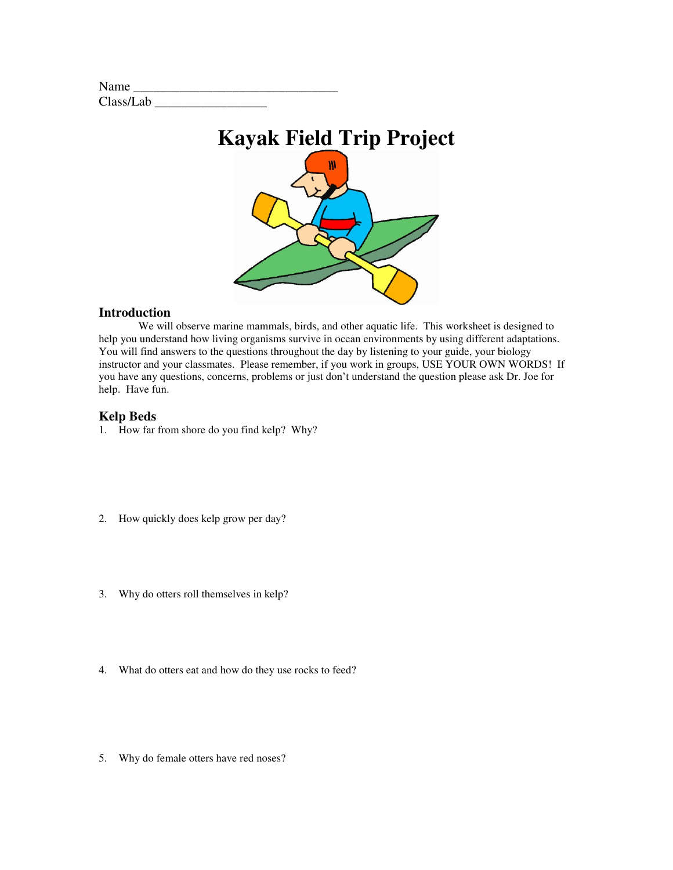| Name      |  |
|-----------|--|
| Class/Lab |  |



#### **Introduction**

We will observe marine mammals, birds, and other aquatic life. This worksheet is designed to help you understand how living organisms survive in ocean environments by using different adaptations. You will find answers to the questions throughout the day by listening to your guide, your biology instructor and your classmates. Please remember, if you work in groups, USE YOUR OWN WORDS! If you have any questions, concerns, problems or just don't understand the question please ask Dr. Joe for help. Have fun.

### **Kelp Beds**

- 1. How far from shore do you find kelp? Why?
- 2. How quickly does kelp grow per day?
- 3. Why do otters roll themselves in kelp?
- 4. What do otters eat and how do they use rocks to feed?
- 5. Why do female otters have red noses?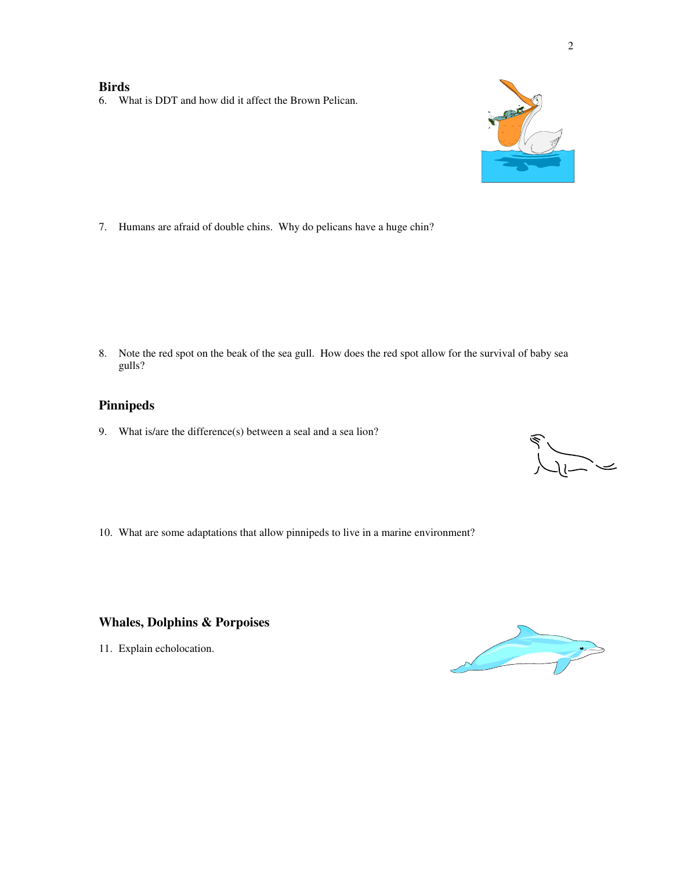#### **Birds**

6. What is DDT and how did it affect the Brown Pelican.



7. Humans are afraid of double chins. Why do pelicans have a huge chin?

8. Note the red spot on the beak of the sea gull. How does the red spot allow for the survival of baby sea gulls?

## **Pinnipeds**

9. What is/are the difference(s) between a seal and a sea lion?

 $\begin{array}{c}\n\searrow\n\end{array}$ 

10. What are some adaptations that allow pinnipeds to live in a marine environment?

## **Whales, Dolphins & Porpoises**

11. Explain echolocation.

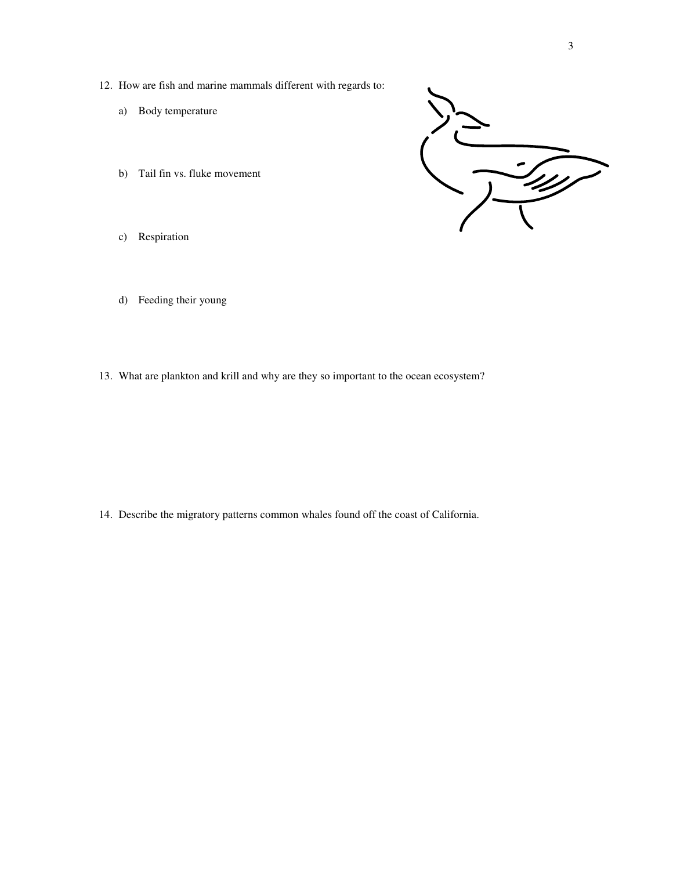- 12. How are fish and marine mammals different with regards to:
	- a) Body temperature
	- b) Tail fin vs. fluke movement



- c) Respiration
- d) Feeding their young
- 13. What are plankton and krill and why are they so important to the ocean ecosystem?

14. Describe the migratory patterns common whales found off the coast of California.